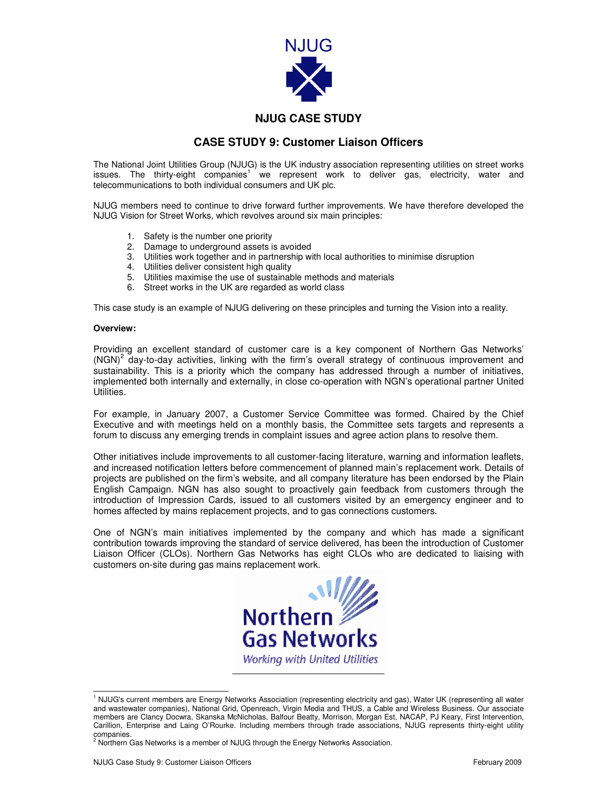

## **NJUG CASE STUDY**

## **CASE STUDY 9: Customer Liaison Officers**

The National Joint Utilities Group (NJUG) is the UK industry association representing utilities on street works issues. The thirty-eight companies<sup>1</sup> we represent work to deliver gas, electricity, water and telecommunications to both individual consumers and UK plc.

NJUG members need to continue to drive forward further improvements. We have therefore developed the NJUG Vision for Street Works, which revolves around six main principles:

- 1. Safety is the number one priority
- 2. Damage to underground assets is avoided
- 3. Utilities work together and in partnership with local authorities to minimise disruption
- 4. Utilities deliver consistent high quality
- 5. Utilities maximise the use of sustainable methods and materials
- 6. Street works in the UK are regarded as world class

This case study is an example of NJUG delivering on these principles and turning the Vision into a reality.

## **Overview:**

Providing an excellent standard of customer care is a key component of Northern Gas Networks' (NGN)<sup>2</sup> day-to-day activities, linking with the firm's overall strategy of continuous improvement and sustainability. This is a priority which the company has addressed through a number of initiatives, implemented both internally and externally, in close co-operation with NGN's operational partner United Utilities.

For example, in January 2007, a Customer Service Committee was formed. Chaired by the Chief Executive and with meetings held on a monthly basis, the Committee sets targets and represents a forum to discuss any emerging trends in complaint issues and agree action plans to resolve them.

Other initiatives include improvements to all customer-facing literature, warning and information leaflets, and increased notification letters before commencement of planned main's replacement work. Details of projects are published on the firm's website, and all company literature has been endorsed by the Plain English Campaign. NGN has also sought to proactively gain feedback from customers through the introduction of Impression Cards, issued to all customers visited by an emergency engineer and to homes affected by mains replacement projects, and to gas connections customers.

One of NGN's main initiatives implemented by the company and which has made a significant contribution towards improving the standard of service delivered, has been the introduction of Customer Liaison Officer (CLOs). Northern Gas Networks has eight CLOs who are dedicated to liaising with customers on-site during gas mains replacement work.



 1 NJUG's current members are Energy Networks Association (representing electricity and gas), Water UK (representing all water and wastewater companies), National Grid, Openreach, Virgin Media and THUS, a Cable and Wireless Business. Our associate members are Clancy Docwra, Skanska McNicholas, Balfour Beatty, Morrison, Morgan Est, NACAP, PJ Keary, First Intervention, Carillion, Enterprise and Laing O'Rourke. Including members through trade associations, NJUG represents thirty-eight utility

companies.<br><sup>2</sup> Northern Gas Networks is a member of NJUG through the Energy Networks Association.